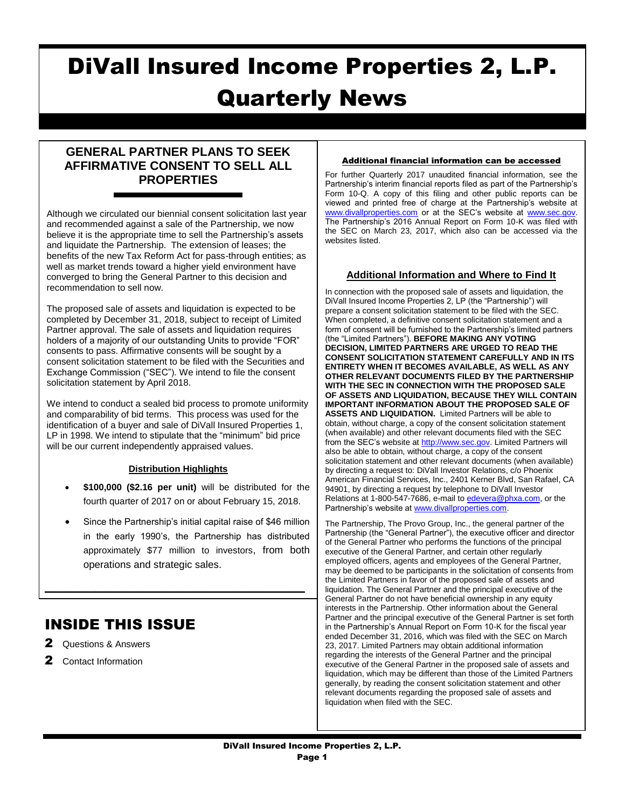# DiVall Insured Income Properties 2, L.P. Quarterly News

# **GENERAL PARTNER PLANS TO SEEK AFFIRMATIVE CONSENT TO SELL ALL PROPERTIES**

Although we circulated our biennial consent solicitation last year and recommended against a sale of the Partnership, we now believe it is the appropriate time to sell the Partnership's assets and liquidate the Partnership. The extension of leases; the benefits of the new Tax Reform Act for pass-through entities; as well as market trends toward a higher yield environment have converged to bring the General Partner to this decision and recommendation to sell now.

The proposed sale of assets and liquidation is expected to be completed by December 31, 2018, subject to receipt of Limited Partner approval. The sale of assets and liquidation requires holders of a majority of our outstanding Units to provide "FOR" consents to pass. Affirmative consents will be sought by a consent solicitation statement to be filed with the Securities and Exchange Commission ("SEC"). We intend to file the consent solicitation statement by April 2018.

We intend to conduct a sealed bid process to promote uniformity and comparability of bid terms. This process was used for the identification of a buyer and sale of DiVall Insured Properties 1, LP in 1998. We intend to stipulate that the "minimum" bid price will be our current independently appraised values.

## **Distribution Highlights**

- **\$100,000 (\$2.16 per unit)** will be distributed for the fourth quarter of 2017 on or about February 15, 2018.
- Since the Partnership's initial capital raise of \$46 million in the early 1990's, the Partnership has distributed approximately \$77 million to investors, from both operations and strategic sales.

 $\mathcal{L}_\text{max} = \mathcal{L}_\text{max} = \mathcal{L}_\text{max} = \mathcal{L}_\text{max} = \mathcal{L}_\text{max} = \mathcal{L}_\text{max} = \mathcal{L}_\text{max} = \mathcal{L}_\text{max} = \mathcal{L}_\text{max} = \mathcal{L}_\text{max} = \mathcal{L}_\text{max} = \mathcal{L}_\text{max} = \mathcal{L}_\text{max} = \mathcal{L}_\text{max} = \mathcal{L}_\text{max} = \mathcal{L}_\text{max} = \mathcal{L}_\text{max} = \mathcal{L}_\text{max} = \mathcal{$ 

# INSIDE THIS ISSUE

- 2 Questions & Answers
- 2 Contact Information

#### Additional financial information can be accessed

For further Quarterly 2017 unaudited financial information, see the Partnership's interim financial reports filed as part of the Partnership's Form 10-Q. A copy of this filing and other public reports can be viewed and printed free of charge at the Partnership's website at [www.divallproperties.com](http://www.divallproperties.com/) or at the SEC's website at [www.sec.gov.](http://www.sec.gov/) The Partnership's 2016 Annual Report on Form 10-K was filed with the SEC on March 23, 2017, which also can be accessed via the websites listed.

# **Additional Information and Where to Find It**

In connection with the proposed sale of assets and liquidation, the DiVall Insured Income Properties 2, LP (the "Partnership") will prepare a consent solicitation statement to be filed with the SEC. When completed, a definitive consent solicitation statement and a form of consent will be furnished to the Partnership's limited partners (the "Limited Partners"). **BEFORE MAKING ANY VOTING DECISION, LIMITED PARTNERS ARE URGED TO READ THE CONSENT SOLICITATION STATEMENT CAREFULLY AND IN ITS ENTIRETY WHEN IT BECOMES AVAILABLE, AS WELL AS ANY OTHER RELEVANT DOCUMENTS FILED BY THE PARTNERSHIP WITH THE SEC IN CONNECTION WITH THE PROPOSED SALE OF ASSETS AND LIQUIDATION, BECAUSE THEY WILL CONTAIN IMPORTANT INFORMATION ABOUT THE PROPOSED SALE OF ASSETS AND LIQUIDATION.** Limited Partners will be able to obtain, without charge, a copy of the consent solicitation statement (when available) and other relevant documents filed with the SEC from the SEC's website at [http://www.sec.gov.](http://www.sec.gov/) Limited Partners will also be able to obtain, without charge, a copy of the consent solicitation statement and other relevant documents (when available) by directing a request to: DiVall Investor Relations, c/o Phoenix American Financial Services, Inc., 2401 Kerner Blvd, San Rafael, CA 94901, by directing a request by telephone to DiVall Investor Relations at 1-800-547-7686, e-mail t[o edevera@phxa.com,](mailto:edevera@phxa.com) or the Partnership's website a[t www.divallproperties.com.](http://www.divallproperties.com/) 

The Partnership, The Provo Group, Inc., the general partner of the Partnership (the "General Partner"), the executive officer and director of the General Partner who performs the functions of the principal executive of the General Partner, and certain other regularly employed officers, agents and employees of the General Partner, may be deemed to be participants in the solicitation of consents from the Limited Partners in favor of the proposed sale of assets and liquidation. The General Partner and the principal executive of the General Partner do not have beneficial ownership in any equity interests in the Partnership. Other information about the General Partner and the principal executive of the General Partner is set forth in the Partnership's Annual Report on Form 10-K for the fiscal year ended December 31, 2016, which was filed with the SEC on March 23, 2017. Limited Partners may obtain additional information regarding the interests of the General Partner and the principal executive of the General Partner in the proposed sale of assets and liquidation, which may be different than those of the Limited Partners generally, by reading the consent solicitation statement and other relevant documents regarding the proposed sale of assets and liquidation when filed with the SEC.